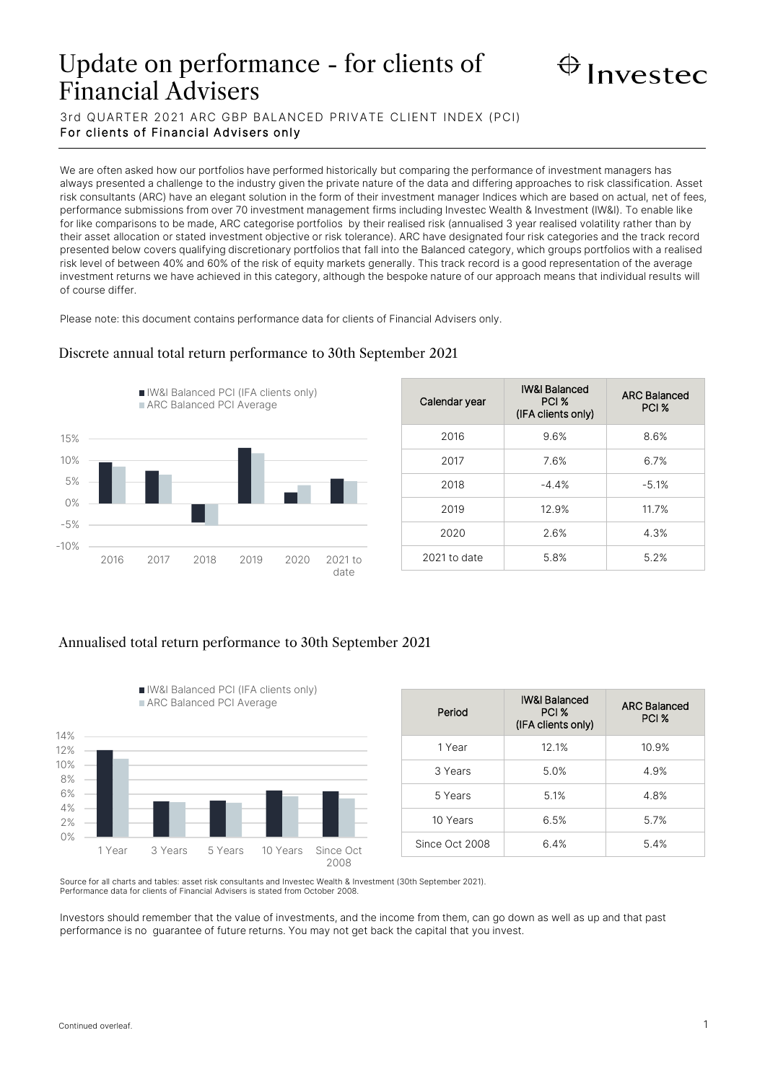# Update on performance - for clients of Financial Advisers



3rd QUARTER 2021 ARC GBP BALANCED PRIVATE CLIENT INDEX (PCI) For clients of Financial Advisers only

We are often asked how our portfolios have performed historically but comparing the performance of investment managers has always presented a challenge to the industry given the private nature of the data and differing approaches to risk classification. Asset risk consultants (ARC) have an elegant solution in the form of their investment manager Indices which are based on actual, net of fees, performance submissions from over 70 investment management firms including Investec Wealth & Investment (IW&I). To enable like for like comparisons to be made, ARC categorise portfolios by their realised risk (annualised 3 year realised volatility rather than by their asset allocation or stated investment objective or risk tolerance). ARC have designated four risk categories and the track record presented below covers qualifying discretionary portfolios that fall into the Balanced category, which groups portfolios with a realised risk level of between 40% and 60% of the risk of equity markets generally. This track record is a good representation of the average investment returns we have achieved in this category, although the bespoke nature of our approach means that individual results will of course differ.

Please note: this document contains performance data for clients of Financial Advisers only.

## -10% -5% 0% 5% 10% 15% 2016 2017 2018 2019 2020 2021 to date IW&I Balanced PCI (IFA clients only) ARC Balanced PCI Average

| Calendar year | <b>IW&amp;I Balanced</b><br>PCI %<br>(IFA clients only) | <b>ARC Balanced</b><br>PCI % |
|---------------|---------------------------------------------------------|------------------------------|
| 2016          | 9.6%                                                    | 8.6%                         |
| 2017          | 7.6%                                                    | 6.7%                         |
| 2018          | $-4.4%$                                                 | $-5.1%$                      |
| 2019          | 12.9%                                                   | 11.7%                        |
| 2020          | 2.6%                                                    | 4.3%                         |
| 2021 to date  | 5.8%                                                    | 5.2%                         |

## Discrete annual total return performance to 30th September 2021

### Annualised total return performance to 30th September 2021

IW&I Balanced PCI (IFA clients only)



| Period         | <b>IW&amp;I Balanced</b><br>PCI %<br>(IFA clients only) | <b>ARC Balanced</b><br>PCI % |
|----------------|---------------------------------------------------------|------------------------------|
| 1 Year         | 12.1%                                                   | 10.9%                        |
| 3 Years        | 5.0%                                                    | 4.9%                         |
| 5 Years        | 5.1%                                                    | 4.8%                         |
| 10 Years       | 6.5%                                                    | 5.7%                         |
| Since Oct 2008 | 6.4%                                                    | 5.4%                         |

Source for all charts and tables: asset risk consultants and Investec Wealth & Investment (30th September 2021). Performance data for clients of Financial Advisers is stated from October 2008.

Investors should remember that the value of investments, and the income from them, can go down as well as up and that past performance is no guarantee of future returns. You may not get back the capital that you invest.